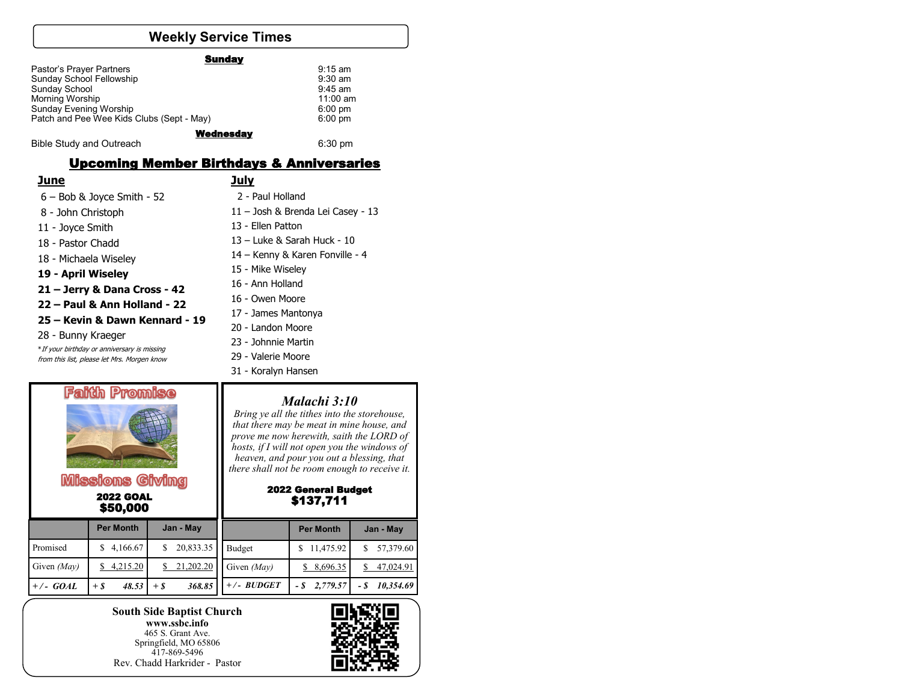# **Weekly Service Times**

| <b>Sunday</b>                             |           |
|-------------------------------------------|-----------|
| Pastor's Prayer Partners                  | $9:15$ am |
| Sunday School Fellowship                  | $9:30$ am |
| Sunday School                             | $9:45$ am |
| Morning Worship                           | 11:00 am  |
| Sunday Evening Worship                    | $6:00$ pm |
| Patch and Pee Wee Kids Clubs (Sept - May) | $6:00$ pm |
| <b>Wednesday</b>                          |           |
| <b>Bible Study and Outreach</b>           | $6:30$ pm |

#### Upcoming Member Birthdays & Anniversaries

|--|

### **July**

| $6 - Bob$ & Joyce Smith - 52                | 2 - Paul Holland                  |  |  |  |
|---------------------------------------------|-----------------------------------|--|--|--|
| 8 - John Christoph                          | 11 - Josh & Brenda Lei Casey - 13 |  |  |  |
| 11 - Joyce Smith                            | 13 - Ellen Patton                 |  |  |  |
| 18 - Pastor Chadd                           | 13 - Luke & Sarah Huck - 10       |  |  |  |
| 18 - Michaela Wiseley                       | 14 – Kenny & Karen Fonville - 4   |  |  |  |
| 19 - April Wiseley                          | 15 - Mike Wiseley                 |  |  |  |
| 21 – Jerry & Dana Cross - 42                | 16 - Ann Holland                  |  |  |  |
| 22 – Paul & Ann Holland - 22                | 16 - Owen Moore                   |  |  |  |
| 25 – Kevin & Dawn Kennard - 19              | 17 - James Mantonya               |  |  |  |
|                                             | 20 - Landon Moore                 |  |  |  |
| 28 - Bunny Kraeger                          | 23 - Johnnie Martin               |  |  |  |
| *If your birthday or anniversary is missing |                                   |  |  |  |
| from this list, please let Mrs. Morgen know | 29 - Valerie Moore                |  |  |  |



 2022 GOAL \$50,000

#### *Malachi 3:10*

31 - Koralyn Hansen

*Bring ye all the tithes into the storehouse, that there may be meat in mine house, and prove me now herewith, saith the LORD of hosts, if I will not open you the windows of heaven, and pour you out a blessing, that there shall not be room enough to receive it.* 

#### 2022 General Budget \$137,711

|               | <b>Per Month</b> | Jan - May        |               | <b>Per Month</b> | Jan - May   |
|---------------|------------------|------------------|---------------|------------------|-------------|
| Promised      | \$4,166.67       | 20,833.35        | Budget        | \$11,475.92      | 57,379.60   |
| Given $(May)$ | \$4,215.20       | \$21,202.20      | Given $(Mav)$ | \$8,696.35       | \$47,024.91 |
| $+/-$ GOAL    | 48.53<br>$+ S$   | 368.85<br>$+$ \$ | $+/- BUDGET$  | $-$ \$ 2,779.57  | 10,354.69   |

**South Side Baptist Church www.ssbc.info** 465 S. Grant Ave. Springfield, MO 65806 417-869-5496 Rev. Chadd Harkrider - Pastor